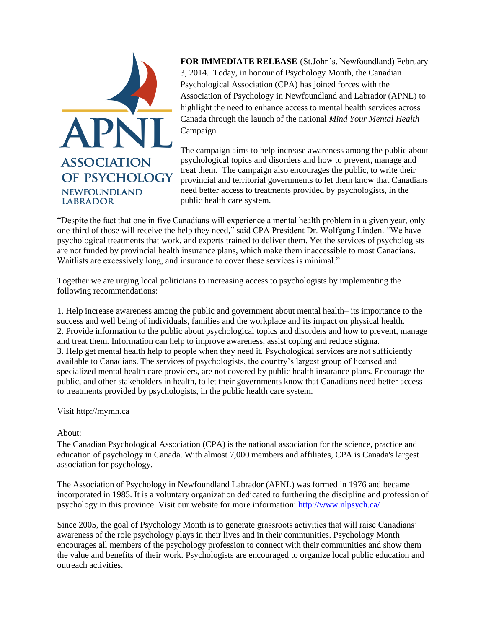

**FOR IMMEDIATE RELEASE-**(St.John's, Newfoundland) February 3, 2014. Today, in honour of Psychology Month, the Canadian Psychological Association (CPA) has joined forces with the Association of Psychology in Newfoundland and Labrador (APNL) to highlight the need to enhance access to mental health services across Canada through the launch of the national *Mind Your Mental Health* Campaign.

The campaign aims to help increase awareness among the public about psychological topics and disorders and how to prevent, manage and treat them**.** The campaign also encourages the public, to write their provincial and territorial governments to let them know that Canadians need better access to treatments provided by psychologists, in the public health care system.

"Despite the fact that one in five Canadians will experience a mental health problem in a given year, only one-third of those will receive the help they need," said CPA President Dr. Wolfgang Linden. "We have psychological treatments that work, and experts trained to deliver them. Yet the services of psychologists are not funded by provincial health insurance plans, which make them inaccessible to most Canadians. Waitlists are excessively long, and insurance to cover these services is minimal."

Together we are urging local politicians to increasing access to psychologists by implementing the following recommendations:

1. Help increase awareness among the public and government about mental health– its importance to the success and well being of individuals, families and the workplace and its impact on physical health. 2. Provide information to the public about psychological topics and disorders and how to prevent, manage and treat them. Information can help to improve awareness, assist coping and reduce stigma. 3. Help get mental health help to people when they need it. Psychological services are not sufficiently available to Canadians. The services of psychologists, the country's largest group of licensed and specialized mental health care providers, are not covered by public health insurance plans. Encourage the public, and other stakeholders in health, to let their governments know that Canadians need better access to treatments provided by psychologists, in the public health care system.

#### Visit http://mymh.ca

#### About:

The Canadian Psychological Association (CPA) is the national association for the science, practice and education of psychology in Canada. With almost 7,000 members and affiliates, CPA is Canada's largest association for psychology.

The Association of Psychology in Newfoundland Labrador (APNL) was formed in 1976 and became incorporated in 1985. It is a voluntary organization dedicated to furthering the discipline and profession of psychology in this province. Visit our website for more information:<http://www.nlpsych.ca/>

Since 2005, the goal of Psychology Month is to generate grassroots activities that will raise Canadians' awareness of the role psychology plays in their lives and in their communities. Psychology Month encourages all members of the psychology profession to connect with their communities and show them the value and benefits of their work. Psychologists are encouraged to organize local public education and outreach activities.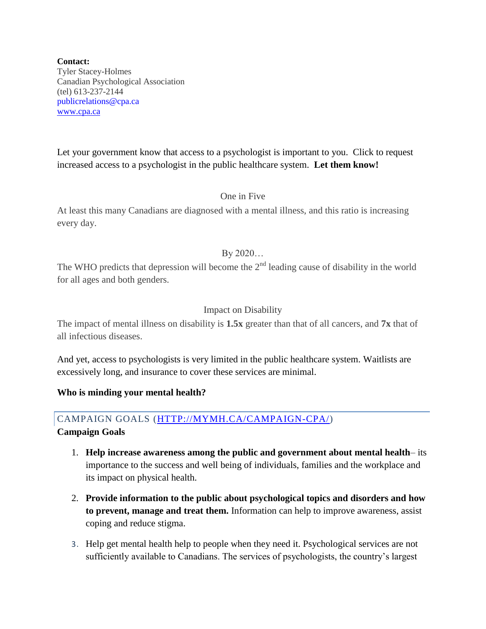**Contact:** Tyler Stacey-Holmes Canadian Psychological Association (tel) 613-237-2144 publicrelations@cpa.ca [www.cpa.ca](http://www.cpa.ca/)

Let your government know that access to a psychologist is important to you. Click to request increased access to a psychologist in the public healthcare system. **Let them know!**

## One in Five

At least this many Canadians are diagnosed with a mental illness, and this ratio is increasing every day.

## By 2020…

The WHO predicts that depression will become the  $2<sup>nd</sup>$  leading cause of disability in the world for all ages and both genders.

# Impact on Disability

The impact of mental illness on disability is **1.5x** greater than that of all cancers, and **7x** that of all infectious diseases.

And yet, access to psychologists is very limited in the public healthcare system. Waitlists are excessively long, and insurance to cover these services are minimal.

**Who is minding your mental health?**

# CAMPAIGN GOALS [\(HTTP://MYMH.CA/CAMPAIGN-CPA/\)](http://mymh.ca/campaign-cpa/)

## **Campaign Goals**

- 1. **Help increase awareness among the public and government about mental health** its importance to the success and well being of individuals, families and the workplace and its impact on physical health.
- 2. **Provide information to the public about psychological topics and disorders and how to prevent, manage and treat them.** Information can help to improve awareness, assist coping and reduce stigma.
- 3. Help get mental health help to people when they need it. Psychological services are not sufficiently available to Canadians. The services of psychologists, the country's largest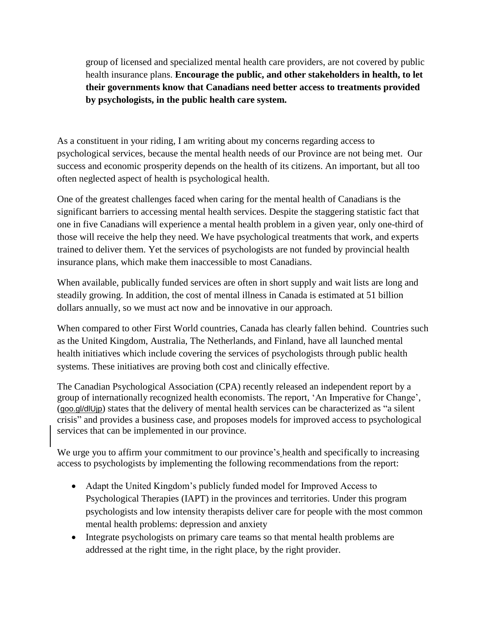group of licensed and specialized mental health care providers, are not covered by public health insurance plans. **Encourage the public, and other stakeholders in health, to let their governments know that Canadians need better access to treatments provided by psychologists, in the public health care system.**

As a constituent in your riding, I am writing about my concerns regarding access to psychological services, because the mental health needs of our Province are not being met. Our success and economic prosperity depends on the health of its citizens. An important, but all too often neglected aspect of health is psychological health.

One of the greatest challenges faced when caring for the mental health of Canadians is the significant barriers to accessing mental health services. Despite the staggering statistic fact that one in five Canadians will experience a mental health problem in a given year, only one-third of those will receive the help they need. We have psychological treatments that work, and experts trained to deliver them. Yet the services of psychologists are not funded by provincial health insurance plans, which make them inaccessible to most Canadians.

When available, publically funded services are often in short supply and wait lists are long and steadily growing. In addition, the cost of mental illness in Canada is estimated at 51 billion dollars annually, so we must act now and be innovative in our approach.

When compared to other First World countries, Canada has clearly fallen behind. Countries such as the United Kingdom, Australia, The Netherlands, and Finland, have all launched mental health initiatives which include covering the services of psychologists through public health systems. These initiatives are proving both cost and clinically effective.

The Canadian Psychological Association (CPA) recently released an independent report by a group of internationally recognized health economists. The report, 'An Imperative for Change', (goo.gl/dlUjp) states that the delivery of mental health services can be characterized as "a silent crisis" and provides a business case, and proposes models for improved access to psychological services that can be implemented in our province.

We urge you to affirm your commitment to our province's health and specifically to increasing access to psychologists by implementing the following recommendations from the report:

- Adapt the United Kingdom's publicly funded model for Improved Access to Psychological Therapies (IAPT) in the provinces and territories. Under this program psychologists and low intensity therapists deliver care for people with the most common mental health problems: depression and anxiety
- Integrate psychologists on primary care teams so that mental health problems are addressed at the right time, in the right place, by the right provider.